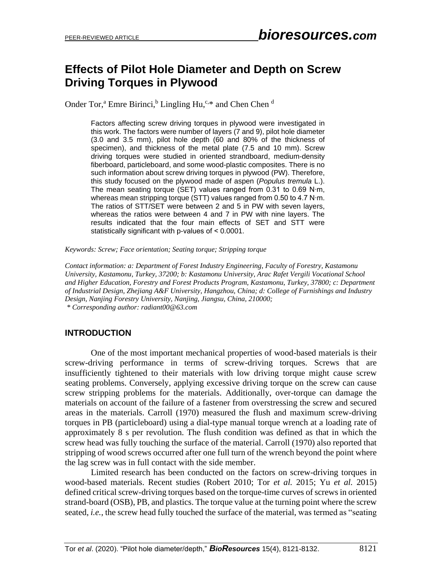# **Effects of Pilot Hole Diameter and Depth on Screw Driving Torques in Plywood**

Onder Tor,<sup>a</sup> Emre Birinci,<sup>b</sup> Lingling Hu,<sup>c,\*</sup> and Chen Chen <sup>d</sup>

Factors affecting screw driving torques in plywood were investigated in this work. The factors were number of layers (7 and 9), pilot hole diameter (3.0 and 3.5 mm), pilot hole depth (60 and 80% of the thickness of specimen), and thickness of the metal plate (7.5 and 10 mm). Screw driving torques were studied in oriented strandboard, medium-density fiberboard, particleboard, and some wood-plastic composites. There is no such information about screw driving torques in plywood (PW). Therefore, this study focused on the plywood made of aspen (*Populus tremula* L.). The mean seating torque (SET) values ranged from 0.31 to 0.69 N∙m, whereas mean stripping torque (STT) values ranged from 0.50 to 4.7 N∙m. The ratios of STT/SET were between 2 and 5 in PW with seven layers, whereas the ratios were between 4 and 7 in PW with nine layers. The results indicated that the four main effects of SET and STT were statistically significant with p-values of ˂ 0.0001.

*Keywords: Screw; Face orientation; Seating torque; Stripping torque*

*Contact information: a: Department of Forest Industry Engineering, Faculty of Forestry, Kastamonu University, Kastamonu, Turkey, 37200; b: Kastamonu University, Arac Rafet Vergili Vocational School and Higher Education, Forestry and Forest Products Program, Kastamonu, Turkey, 37800; c: Department of Industrial Design, Zhejiang A&F University, Hangzhou, China; d: College of Furnishings and Industry Design, Nanjing Forestry University, Nanjing, Jiangsu, China, 210000;*

*\* Corresponding author: radiant00@63.com*

## **INTRODUCTION**

One of the most important mechanical properties of wood-based materials is their screw-driving performance in terms of screw-driving torques. Screws that are insufficiently tightened to their materials with low driving torque might cause screw seating problems. Conversely, applying excessive driving torque on the screw can cause screw stripping problems for the materials. Additionally, over-torque can damage the materials on account of the failure of a fastener from overstressing the screw and secured areas in the materials. Carroll (1970) measured the flush and maximum screw-driving torques in PB (particleboard) using a dial-type manual torque wrench at a loading rate of approximately 8 s per revolution. The flush condition was defined as that in which the screw head was fully touching the surface of the material. Carroll (1970) also reported that stripping of wood screws occurred after one full turn of the wrench beyond the point where the lag screw was in full contact with the side member.

Limited research has been conducted on the factors on screw-driving torques in wood-based materials. Recent studies (Robert 2010; Tor *et al.* 2015; Yu *et al.* 2015) defined critical screw-driving torques based on the torque-time curves of screws in oriented strand-board (OSB), PB, and plastics. The torque value at the turning point where the screw seated, *i.e.*, the screw head fully touched the surface of the material, was termed as "seating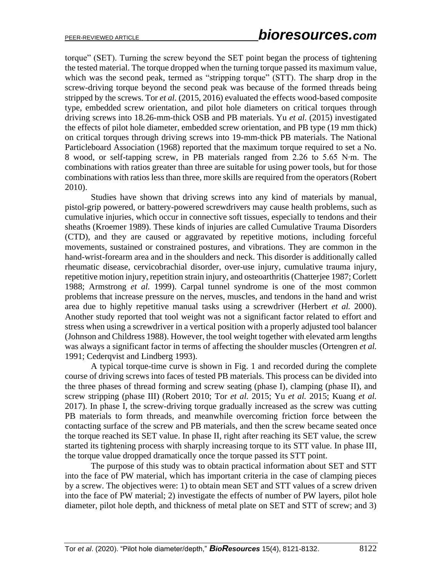torque" (SET). Turning the screw beyond the SET point began the process of tightening the tested material. The torque dropped when the turning torque passed its maximum value, which was the second peak, termed as "stripping torque" (STT). The sharp drop in the screw-driving torque beyond the second peak was because of the formed threads being stripped by the screws. Tor *et al.* (2015, 2016) evaluated the effects wood-based composite type, embedded screw orientation, and pilot hole diameters on critical torques through driving screws into 18.26-mm-thick OSB and PB materials. Yu *et al.* (2015) investigated the effects of pilot hole diameter, embedded screw orientation, and PB type (19 mm thick) on critical torques through driving screws into 19-mm-thick PB materials. The National Particleboard Association (1968) reported that the maximum torque required to set a No. 8 wood, or self-tapping screw, in PB materials ranged from 2.26 to 5.65 N∙m. The combinations with ratios greater than three are suitable for using power tools, but for those combinations with ratios less than three, more skills are required from the operators (Robert 2010).

Studies have shown that driving screws into any kind of materials by manual, pistol-grip powered, or battery-powered screwdrivers may cause health problems, such as cumulative injuries, which occur in connective soft tissues, especially to tendons and their sheaths (Kroemer 1989). These kinds of injuries are called Cumulative Trauma Disorders (CTD), and they are caused or aggravated by repetitive motions, including forceful movements, sustained or constrained postures, and vibrations. They are common in the hand-wrist-forearm area and in the shoulders and neck. This disorder is additionally called rheumatic disease, cervicobrachial disorder, over-use injury, cumulative trauma injury, repetitive motion injury, repetition strain injury, and osteoarthritis (Chatterjee 1987; Corlett 1988; Armstrong *et al.* 1999). Carpal tunnel syndrome is one of the most common problems that increase pressure on the nerves, muscles, and tendons in the hand and wrist area due to highly repetitive manual tasks using a screwdriver (Herbert *et al.* 2000). Another study reported that tool weight was not a significant factor related to effort and stress when using a screwdriver in a vertical position with a properly adjusted tool balancer (Johnson and Childress 1988). However, the tool weight together with elevated arm lengths was always a significant factor in terms of affecting the shoulder muscles (Ortengren *et al.* 1991; Cederqvist and Lindberg 1993).

A typical torque-time curve is shown in Fig. 1 and recorded during the complete course of driving screws into faces of tested PB materials. This process can be divided into the three phases of thread forming and screw seating (phase I), clamping (phase II), and screw stripping (phase III) (Robert 2010; Tor *et al.* 2015; Yu *et al.* 2015; Kuang *et al.* 2017). In phase I, the screw-driving torque gradually increased as the screw was cutting PB materials to form threads, and meanwhile overcoming friction force between the contacting surface of the screw and PB materials, and then the screw became seated once the torque reached its SET value. In phase II, right after reaching its SET value, the screw started its tightening process with sharply increasing torque to its STT value. In phase III, the torque value dropped dramatically once the torque passed its STT point.

The purpose of this study was to obtain practical information about SET and STT into the face of PW material, which has important criteria in the case of clamping pieces by a screw. The objectives were: 1) to obtain mean SET and STT values of a screw driven into the face of PW material; 2) investigate the effects of number of PW layers, pilot hole diameter, pilot hole depth, and thickness of metal plate on SET and STT of screw; and 3)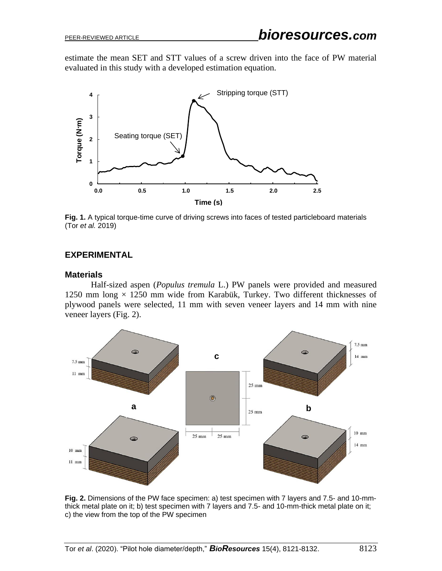estimate the mean SET and STT values of a screw driven into the face of PW material evaluated in this study with a developed estimation equation.



**Fig. 1.** A typical torque-time curve of driving screws into faces of tested particleboard materials (Tor *et al.* 2019)

#### **EXPERIMENTAL**

#### **Materials**

Half-sized aspen (*Populus tremula* L.) PW panels were provided and measured 1250 mm long  $\times$  1250 mm wide from Karabük, Turkey. Two different thicknesses of plywood panels were selected, 11 mm with seven veneer layers and 14 mm with nine veneer layers (Fig. 2).



**Fig. 2.** Dimensions of the PW face specimen: a) test specimen with 7 layers and 7.5- and 10-mmthick metal plate on it; b) test specimen with 7 layers and 7.5- and 10-mm-thick metal plate on it; c) the view from the top of the PW specimen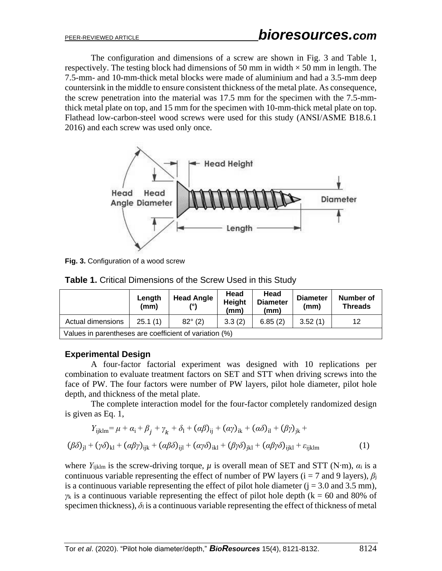The configuration and dimensions of a screw are shown in Fig. 3 and Table 1, respectively. The testing block had dimensions of 50 mm in width  $\times$  50 mm in length. The 7.5-mm- and 10-mm-thick metal blocks were made of aluminium and had a 3.5-mm deep countersink in the middle to ensure consistent thickness of the metal plate. As consequence, the screw penetration into the material was 17.5 mm for the specimen with the 7.5-mmthick metal plate on top, and 15 mm for the specimen with 10-mm-thick metal plate on top. Flathead low-carbon-steel wood screws were used for this study (ANSI/ASME B18.6.1 2016) and each screw was used only once.



**Fig. 3.** Configuration of a wood screw

|                                                        | Length<br>(mm) | <b>Head Angle</b> | Head<br><b>Height</b><br>(mm) | Head<br><b>Diameter</b><br>(mm) | <b>Diameter</b><br>(mm) | Number of<br><b>Threads</b> |  |
|--------------------------------------------------------|----------------|-------------------|-------------------------------|---------------------------------|-------------------------|-----------------------------|--|
| Actual dimensions                                      | 3.3(2)         | 6.85(2)           | 3.52(1)                       | 12                              |                         |                             |  |
| Values in parentheses are coefficient of variation (%) |                |                   |                               |                                 |                         |                             |  |

## **Experimental Design**

A four-factor factorial experiment was designed with 10 replications per combination to evaluate treatment factors on SET and STT when driving screws into the face of PW. The four factors were number of PW layers, pilot hole diameter, pilot hole depth, and thickness of the metal plate.

The complete interaction model for the four-factor completely randomized design is given as Eq. 1,

$$
Y_{ijklm} = \mu + \alpha_i + \beta_j + \gamma_k + \delta_l + (\alpha \beta)_{ij} + (\alpha \gamma)_{ik} + (\alpha \delta)_{il} + (\beta \gamma)_{jk} +
$$
  

$$
(\beta \delta)_{jl} + (\gamma \delta)_{kl} + (\alpha \beta \gamma)_{ijk} + (\alpha \beta \delta)_{ijl} + (\alpha \gamma \delta)_{ikl} + (\beta \gamma \delta)_{jkl} + (\alpha \beta \gamma \delta)_{ijkl} + \varepsilon_{ijklm}
$$
 (1)

where *Υ*ijklm is the screw-driving torque, *µ* is overall mean of SET and STT (N∙m), *α*<sup>i</sup> is a continuous variable representing the effect of number of PW layers ( $i = 7$  and 9 layers),  $\beta_i$ is a continuous variable representing the effect of pilot hole diameter  $(i = 3.0$  and 3.5 mm),  $\gamma_k$  is a continuous variable representing the effect of pilot hole depth ( $k = 60$  and 80% of specimen thickness),  $\delta_l$  is a continuous variable representing the effect of thickness of metal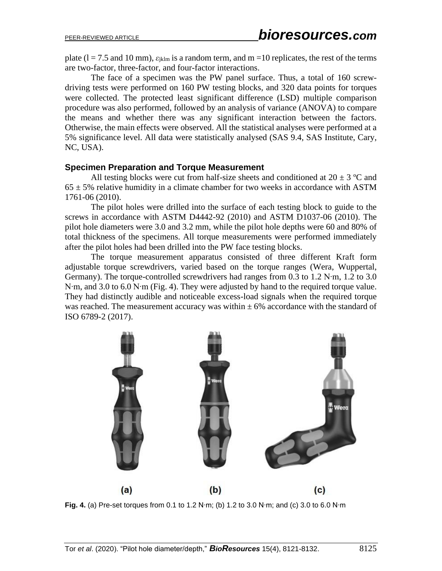plate  $(l = 7.5$  and 10 mm),  $\varepsilon_{jklm}$  is a random term, and m =10 replicates, the rest of the terms are two-factor, three-factor, and four-factor interactions.

The face of a specimen was the PW panel surface. Thus, a total of 160 screwdriving tests were performed on 160 PW testing blocks, and 320 data points for torques were collected. The protected least significant difference (LSD) multiple comparison procedure was also performed, followed by an analysis of variance (ANOVA) to compare the means and whether there was any significant interaction between the factors. Otherwise, the main effects were observed. All the statistical analyses were performed at a 5% significance level. All data were statistically analysed (SAS 9.4, SAS Institute, Cary, NC, USA).

#### **Specimen Preparation and Torque Measurement**

All testing blocks were cut from half-size sheets and conditioned at  $20 \pm 3$  °C and  $65 \pm 5\%$  relative humidity in a climate chamber for two weeks in accordance with ASTM 1761-06 (2010).

The pilot holes were drilled into the surface of each testing block to guide to the screws in accordance with ASTM D4442-92 (2010) and ASTM D1037-06 (2010). The pilot hole diameters were 3.0 and 3.2 mm, while the pilot hole depths were 60 and 80% of total thickness of the specimens. All torque measurements were performed immediately after the pilot holes had been drilled into the PW face testing blocks.

The torque measurement apparatus consisted of three different Kraft form adjustable torque screwdrivers, varied based on the torque ranges (Wera, Wuppertal, Germany). The torque-controlled screwdrivers had ranges from 0.3 to 1.2 N∙m, 1.2 to 3.0 N∙m, and 3.0 to 6.0 N∙m (Fig. 4). They were adjusted by hand to the required torque value. They had distinctly audible and noticeable excess-load signals when the required torque was reached. The measurement accuracy was within  $\pm$  6% accordance with the standard of ISO 6789-2 (2017).



**Fig. 4.** (a) Pre-set torques from 0.1 to 1.2 N∙m; (b) 1.2 to 3.0 N∙m; and (c) 3.0 to 6.0 N∙m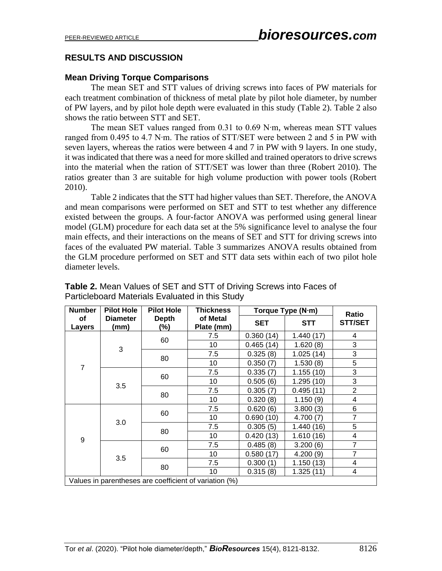## **RESULTS AND DISCUSSION**

#### **Mean Driving Torque Comparisons**

The mean SET and STT values of driving screws into faces of PW materials for each treatment combination of thickness of metal plate by pilot hole diameter, by number of PW layers, and by pilot hole depth were evaluated in this study (Table 2). Table 2 also shows the ratio between STT and SET.

The mean SET values ranged from 0.31 to 0.69 N∙m, whereas mean STT values ranged from 0.495 to 4.7 N∙m. The ratios of STT/SET were between 2 and 5 in PW with seven layers, whereas the ratios were between 4 and 7 in PW with 9 layers. In one study, it was indicated that there was a need for more skilled and trained operators to drive screws into the material when the ration of STT/SET was lower than three (Robert 2010). The ratios greater than 3 are suitable for high volume production with power tools (Robert 2010).

Table 2 indicates that the STT had higher values than SET. Therefore, the ANOVA and mean comparisons were performed on SET and STT to test whether any difference existed between the groups. A four-factor ANOVA was performed using general linear model (GLM) procedure for each data set at the 5% significance level to analyse the four main effects, and their interactions on the means of SET and STT for driving screws into faces of the evaluated PW material. Table 3 summarizes ANOVA results obtained from the GLM procedure performed on SET and STT data sets within each of two pilot hole diameter levels.

| <b>Number</b>   | <b>Pilot Hole</b>       | <b>Pilot Hole</b>   | <b>Thickness</b>                                       |               | Torque Type (N·m) |                         |  |
|-----------------|-------------------------|---------------------|--------------------------------------------------------|---------------|-------------------|-------------------------|--|
| οf<br>Layers    | <b>Diameter</b><br>(mm) | <b>Depth</b><br>(%) | of Metal<br>Plate (mm)                                 | <b>SET</b>    | <b>STT</b>        | Ratio<br><b>STT/SET</b> |  |
| 3               | 60                      | 7.5                 | 0.360(14)                                              | 1.440 (17)    | 4                 |                         |  |
|                 |                         | 10                  | 0.465(14)                                              | 1.620(8)      | 3                 |                         |  |
|                 |                         |                     | 7.5                                                    | 0.325(8)      | 1.025(14)         | 3                       |  |
| $\overline{7}$  |                         | 80                  | 10                                                     | 0.350(7)      | 1.530(8)          | 5                       |  |
|                 |                         |                     | 7.5                                                    | 0.335(7)      | 1.155(10)         | 3                       |  |
|                 |                         | 60                  | 10                                                     | 0.505(6)      | 1.295(10)         | 3                       |  |
|                 | 3.5                     | 80                  | 7.5                                                    | 0.305(7)      | 0.495(11)         | $\overline{2}$          |  |
|                 |                         |                     | 10                                                     | 0.320(8)      | 1.150(9)          | 4                       |  |
| 3.0<br>9<br>3.5 |                         | 7.5                 | 0.620(6)                                               | 3.800(3)      | 6                 |                         |  |
|                 |                         | 60                  | 10                                                     | 0.690(10)     | 4.700(7)          | $\overline{7}$          |  |
|                 |                         |                     | 7.5                                                    | 0.305(5)      | 1.440 (16)        | 5                       |  |
|                 |                         | 80                  | 10                                                     | 0.420<br>(13) | 1.610(16)         | 4                       |  |
|                 |                         |                     | 7.5                                                    | 0.485(8)      | 3.200(6)          | $\overline{7}$          |  |
|                 |                         | 60                  | 10                                                     | 0.580(17)     | 4.200(9)          | $\overline{7}$          |  |
|                 |                         |                     | 7.5                                                    | 0.300(1)      | 1.150(13)         | 4                       |  |
|                 |                         | 80                  | 10                                                     | 0.315(8)      | 1.325(11)         | 4                       |  |
|                 |                         |                     | Values in parentheses are coefficient of variation (%) |               |                   |                         |  |

**Table 2.** Mean Values of SET and STT of Driving Screws into Faces of Particleboard Materials Evaluated in this Study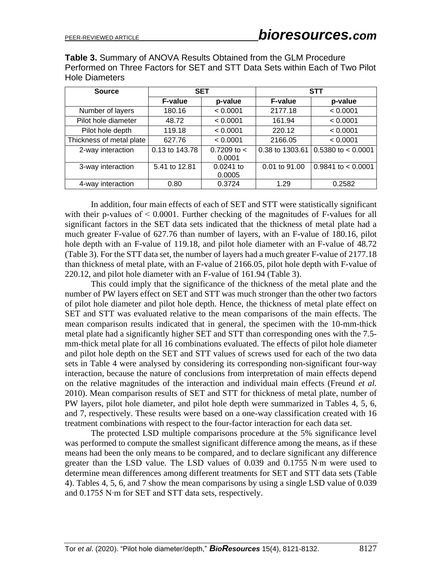**Table 3.** Summary of ANOVA Results Obtained from the GLM Procedure Performed on Three Factors for SET and STT Data Sets within Each of Two Pilot Hole Diameters

| <b>Source</b>            | <b>SET</b>     |                         |                 | <b>STT</b>             |
|--------------------------|----------------|-------------------------|-----------------|------------------------|
|                          | <b>F-value</b> | p-value                 | <b>F-value</b>  | p-value                |
| Number of layers         | 180.16         | < 0.0001                | 2177.18         | < 0.0001               |
| Pilot hole diameter      | 48.72          | < 0.0001                | 161.94          | < 0.0001               |
| Pilot hole depth         | 119.18         | < 0.0001                | 220.12          | < 0.0001               |
| Thickness of metal plate | 627.76         | < 0.0001                | 2166.05         | < 0.0001               |
| 2-way interaction        | 0.13 to 143.78 | 0.7209 to $<$<br>0.0001 | 0.38 to 1303.61 | $0.5380$ to $< 0.0001$ |
| 3-way interaction        | 5.41 to 12.81  | 0.0241 to<br>0.0005     | 0.01 to 91.00   | $0.9841$ to $< 0.0001$ |
| 4-way interaction        | 0.80           | 0.3724                  | 1.29            | 0.2582                 |

In addition, four main effects of each of SET and STT were statistically significant with their p-values of  $\leq 0.0001$ . Further checking of the magnitudes of F-values for all significant factors in the SET data sets indicated that the thickness of metal plate had a much greater F-value of 627.76 than number of layers, with an F-value of 180.16, pilot hole depth with an F-value of 119.18, and pilot hole diameter with an F-value of 48.72 (Table 3). For the STT data set, the number of layers had a much greater F-value of 2177.18 than thickness of metal plate, with an F-value of 2166.05, pilot hole depth with F-value of 220.12, and pilot hole diameter with an F-value of 161.94 (Table 3).

This could imply that the significance of the thickness of the metal plate and the number of PW layers effect on SET and STT was much stronger than the other two factors of pilot hole diameter and pilot hole depth. Hence, the thickness of metal plate effect on SET and STT was evaluated relative to the mean comparisons of the main effects. The mean comparison results indicated that in general, the specimen with the 10-mm-thick metal plate had a significantly higher SET and STT than corresponding ones with the 7.5 mm-thick metal plate for all 16 combinations evaluated. The effects of pilot hole diameter and pilot hole depth on the SET and STT values of screws used for each of the two data sets in Table 4 were analysed by considering its corresponding non-significant four-way interaction, because the nature of conclusions from interpretation of main effects depend on the relative magnitudes of the interaction and individual main effects (Freund *et al.* 2010). Mean comparison results of SET and STT for thickness of metal plate, number of PW layers, pilot hole diameter, and pilot hole depth were summarized in Tables 4, 5, 6, and 7, respectively. These results were based on a one-way classification created with 16 treatment combinations with respect to the four-factor interaction for each data set.

The protected LSD multiple comparisons procedure at the 5% significance level was performed to compute the smallest significant difference among the means, as if these means had been the only means to be compared, and to declare significant any difference greater than the LSD value. The LSD values of 0.039 and 0.1755 N∙m were used to determine mean differences among different treatments for SET and STT data sets (Table 4). Tables 4, 5, 6, and 7 show the mean comparisons by using a single LSD value of 0.039 and 0.1755 N∙m for SET and STT data sets, respectively.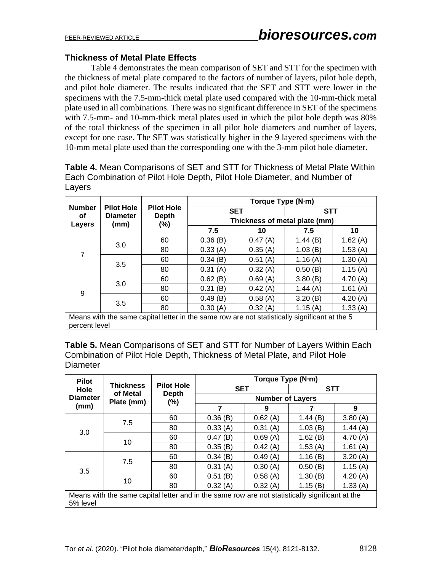#### **Thickness of Metal Plate Effects**

Table 4 demonstrates the mean comparison of SET and STT for the specimen with the thickness of metal plate compared to the factors of number of layers, pilot hole depth, and pilot hole diameter. The results indicated that the SET and STT were lower in the specimens with the 7.5-mm-thick metal plate used compared with the 10-mm-thick metal plate used in all combinations. There was no significant difference in SET of the specimens with 7.5-mm- and 10-mm-thick metal plates used in which the pilot hole depth was 80% of the total thickness of the specimen in all pilot hole diameters and number of layers, except for one case. The SET was statistically higher in the 9 layered specimens with the 10-mm metal plate used than the corresponding one with the 3-mm pilot hole diameter.

**Table 4.** Mean Comparisons of SET and STT for Thickness of Metal Plate Within Each Combination of Pilot Hole Depth, Pilot Hole Diameter, and Number of Layers

|                               |                                                                                               |                                          | Torque Type (N·m)             |         |            |         |  |  |  |
|-------------------------------|-----------------------------------------------------------------------------------------------|------------------------------------------|-------------------------------|---------|------------|---------|--|--|--|
| <b>Number</b><br>οf<br>Layers | <b>Pilot Hole</b><br><b>Diameter</b>                                                          | <b>Pilot Hole</b><br><b>Depth</b><br>(%) | <b>SET</b>                    |         | <b>STT</b> |         |  |  |  |
|                               | (mm)                                                                                          |                                          | Thickness of metal plate (mm) |         |            |         |  |  |  |
|                               |                                                                                               |                                          | 7.5                           | 10      | 7.5        | 10      |  |  |  |
|                               |                                                                                               | 60                                       | 0.36(B)                       | 0.47(A) | 1.44(B)    | 1.62(A) |  |  |  |
| 3.0<br>7<br>3.5               |                                                                                               | 80                                       | 0.33(A)                       | 0.35(A) | 1.03(B)    | 1.53(A) |  |  |  |
|                               |                                                                                               | 60                                       | 0.34(B)                       | 0.51(A) | 1.16(A)    | 1.30(A) |  |  |  |
|                               |                                                                                               | 80                                       | 0.31(A)                       | 0.32(A) | 0.50(B)    | 1.15(A) |  |  |  |
|                               |                                                                                               | 60                                       | 0.62(B)                       | 0.69(A) | 3.80(B)    | 4.70(A) |  |  |  |
| 3.0<br>9<br>3.5               |                                                                                               | 80                                       | 0.31(B)                       | 0.42(A) | 1.44(A)    | 1.61(A) |  |  |  |
|                               |                                                                                               | 60                                       | 0.49(B)                       | 0.58(A) | 3.20(B)    | 4.20(A) |  |  |  |
|                               |                                                                                               | 80                                       | 0.30(A)                       | 0.32(A) | 1.15(A)    | 1.33(A) |  |  |  |
|                               | Means with the same capital letter in the same row are not statistically significant at the 5 |                                          |                               |         |            |         |  |  |  |

percent level

**Table 5.** Mean Comparisons of SET and STT for Number of Layers Within Each Combination of Pilot Hole Depth, Thickness of Metal Plate, and Pilot Hole **Diameter** 

| <b>Pilot</b>                    |                        |                        | Torque Type (N·m)                                                                               |         |            |            |  |  |
|---------------------------------|------------------------|------------------------|-------------------------------------------------------------------------------------------------|---------|------------|------------|--|--|
| Hole<br><b>Diameter</b><br>(mm) | <b>Thickness</b>       | <b>Pilot Hole</b>      | <b>SET</b>                                                                                      |         | <b>STT</b> |            |  |  |
|                                 | of Metal<br>Plate (mm) | <b>Depth</b><br>$(\%)$ | <b>Number of Layers</b>                                                                         |         |            |            |  |  |
|                                 |                        |                        | 7                                                                                               | 9       |            | 9          |  |  |
|                                 | 7.5                    | 60                     | 0.36(B)                                                                                         | 0.62(A) | 1.44(B)    | 3.80(A)    |  |  |
| 3.0                             |                        | 80                     | 0.33(A)                                                                                         | 0.31(A) | 1.03(B)    | 1.44 $(A)$ |  |  |
|                                 | 10                     | 60                     | 0.47(B)                                                                                         | 0.69(A) | 1.62(B)    | 4.70 $(A)$ |  |  |
|                                 |                        | 80                     | 0.35(B)                                                                                         | 0.42(A) | 1.53(A)    | 1.61(A)    |  |  |
|                                 | 7.5                    | 60                     | 0.34(B)                                                                                         | 0.49(A) | 1.16(B)    | 3.20(A)    |  |  |
| 3.5                             |                        | 80                     | 0.31(A)                                                                                         | 0.30(A) | 0.50(B)    | 1.15(A)    |  |  |
|                                 |                        | 60                     | 0.51(B)                                                                                         | 0.58(A) | 1.30(B)    | 4.20 $(A)$ |  |  |
|                                 | 10                     | 80                     | 0.32(A)                                                                                         | 0.32(A) | 1.15(B)    | 1.33(A)    |  |  |
| 5% level                        |                        |                        | Means with the same capital letter and in the same row are not statistically significant at the |         |            |            |  |  |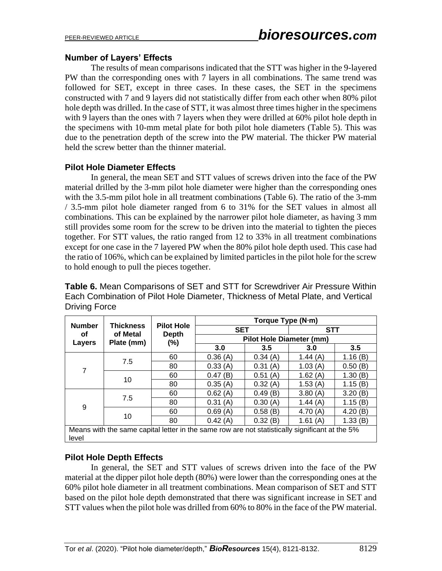#### **Number of Layers' Effects**

The results of mean comparisons indicated that the STT was higher in the 9-layered PW than the corresponding ones with 7 layers in all combinations. The same trend was followed for SET, except in three cases. In these cases, the SET in the specimens constructed with 7 and 9 layers did not statistically differ from each other when 80% pilot hole depth was drilled. In the case of STT, it was almost three times higher in the specimens with 9 layers than the ones with 7 layers when they were drilled at 60% pilot hole depth in the specimens with 10-mm metal plate for both pilot hole diameters (Table 5). This was due to the penetration depth of the screw into the PW material. The thicker PW material held the screw better than the thinner material.

#### **Pilot Hole Diameter Effects**

In general, the mean SET and STT values of screws driven into the face of the PW material drilled by the 3-mm pilot hole diameter were higher than the corresponding ones with the 3.5-mm pilot hole in all treatment combinations (Table 6). The ratio of the 3-mm / 3.5-mm pilot hole diameter ranged from 6 to 31% for the SET values in almost all combinations. This can be explained by the narrower pilot hole diameter, as having 3 mm still provides some room for the screw to be driven into the material to tighten the pieces together. For STT values, the ratio ranged from 12 to 33% in all treatment combinations except for one case in the 7 layered PW when the 80% pilot hole depth used. This case had the ratio of 106%, which can be explained by limited particles in the pilot hole for the screw to hold enough to pull the pieces together.

**Table 6.** Mean Comparisons of SET and STT for Screwdriver Air Pressure Within Each Combination of Pilot Hole Diameter, Thickness of Metal Plate, and Vertical Driving Force

|                               |                              |                                   | Torque Type (N·m)                                                                              |         |            |             |  |  |
|-------------------------------|------------------------------|-----------------------------------|------------------------------------------------------------------------------------------------|---------|------------|-------------|--|--|
| <b>Number</b><br>οf<br>Layers | <b>Thickness</b><br>of Metal | <b>Pilot Hole</b><br><b>Depth</b> | <b>SET</b>                                                                                     |         | <b>STT</b> |             |  |  |
|                               | Plate (mm)                   | $(\% )$                           | <b>Pilot Hole Diameter (mm)</b>                                                                |         |            |             |  |  |
|                               |                              |                                   | 3.0                                                                                            | 3.5     | 3.0        | 3.5         |  |  |
|                               | 7.5                          | 60                                | 0.36(A)                                                                                        | 0.34(A) | 1.44 $(A)$ | 1.16(B)     |  |  |
| 7                             |                              | 80                                | 0.33(A)                                                                                        | 0.31(A) | 1.03(A)    | 0.50(B)     |  |  |
|                               | 10                           | 60                                | 0.47(B)                                                                                        | 0.51(A) | 1.62(A)    | 1.30(B)     |  |  |
|                               |                              | 80                                | 0.35(A)                                                                                        | 0.32(A) | 1.53(A)    | 1.15(B)     |  |  |
| 7.5<br>9<br>10                | 60                           | 0.62(A)                           | 0.49(B)                                                                                        | 3.80(A) | 3.20(B)    |             |  |  |
|                               |                              | 80                                | 0.31(A)                                                                                        | 0.30(A) | 1.44 $(A)$ | 1.15(B)     |  |  |
|                               |                              | 60                                | 0.69(A)                                                                                        | 0.58(B) | 4.70 $(A)$ | (B)<br>4.20 |  |  |
|                               |                              | 80                                | 0.42(A)                                                                                        | 0.32(B) | 1.61 $(A)$ | 1.33(B)     |  |  |
| level                         |                              |                                   | Means with the same capital letter in the same row are not statistically significant at the 5% |         |            |             |  |  |

#### **Pilot Hole Depth Effects**

In general, the SET and STT values of screws driven into the face of the PW material at the dipper pilot hole depth (80%) were lower than the corresponding ones at the 60% pilot hole diameter in all treatment combinations. Mean comparison of SET and STT based on the pilot hole depth demonstrated that there was significant increase in SET and STT values when the pilot hole was drilled from 60% to 80% in the face of the PW material.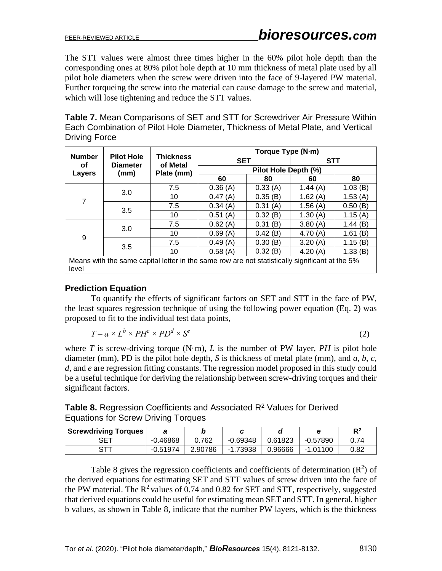The STT values were almost three times higher in the 60% pilot hole depth than the corresponding ones at 80% pilot hole depth at 10 mm thickness of metal plate used by all pilot hole diameters when the screw were driven into the face of 9-layered PW material. Further torqueing the screw into the material can cause damage to the screw and material, which will lose tightening and reduce the STT values.

| <b>Table 7.</b> Mean Comparisons of SET and STT for Screwdriver Air Pressure Within |
|-------------------------------------------------------------------------------------|
| Each Combination of Pilot Hole Diameter, Thickness of Metal Plate, and Vertical     |
| Driving Force                                                                       |

|                               |                                      |                                                                                                | Torque Type (N·m)    |         |            |             |  |  |
|-------------------------------|--------------------------------------|------------------------------------------------------------------------------------------------|----------------------|---------|------------|-------------|--|--|
| <b>Number</b><br>οf<br>Layers | <b>Pilot Hole</b><br><b>Diameter</b> | <b>Thickness</b><br>of Metal                                                                   | <b>SET</b>           |         | <b>STT</b> |             |  |  |
|                               | (mm)                                 | Plate (mm)                                                                                     | Pilot Hole Depth (%) |         |            |             |  |  |
|                               |                                      |                                                                                                | 60                   | 80      | 60         | 80          |  |  |
|                               |                                      | 7.5                                                                                            | 0.36(A)              | 0.33(A) | 1.44 $(A)$ | 1.03(B)     |  |  |
| 7                             | 3.0                                  | 10                                                                                             | 0.47(A)              | 0.35(B) | 1.62 $(A)$ | 1.53(A)     |  |  |
|                               | 3.5                                  | 7.5                                                                                            | 0.34(A)              | 0.31(A) | 1.56(A)    | 0.50(B)     |  |  |
|                               |                                      | 10                                                                                             | 0.51<br>(A)          | 0.32(B) | 1.30 $(A)$ | 1.15(A)     |  |  |
|                               |                                      | 7.5                                                                                            | 0.62(A)              | 0.31(B) | 3.80(A)    | 1.44(B)     |  |  |
|                               | 3.0                                  | 10                                                                                             | 0.69(A)              | 0.42(B) | 4.70(A)    | (B)<br>1.61 |  |  |
| 9                             |                                      | 7.5                                                                                            | 0.49(A)              | 0.30(B) | 3.20(A)    | 1.15(B)     |  |  |
|                               | 3.5                                  | 10                                                                                             | 0.58(A)              | 0.32(B) | 4.20(A)    | 1.33(B)     |  |  |
| level                         |                                      | Means with the same capital letter in the same row are not statistically significant at the 5% |                      |         |            |             |  |  |

## **Prediction Equation**

To quantify the effects of significant factors on SET and STT in the face of PW, the least squares regression technique of using the following power equation (Eq. 2) was proposed to fit to the individual test data points,

$$
T = a \times L^b \times PH^c \times PD^d \times S^e \tag{2}
$$

where *T* is screw-driving torque (N·m), *L* is the number of PW layer, *PH* is pilot hole diameter (mm), PD is the pilot hole depth, *S* is thickness of metal plate (mm), and *a*, *b*, *c*, *d*, and *e* are regression fitting constants. The regression model proposed in this study could be a useful technique for deriving the relationship between screw-driving torques and their significant factors.

| Table 8. Regression Coefficients and Associated $R2$ Values for Derived |  |
|-------------------------------------------------------------------------|--|
| Equations for Screw Driving Torques                                     |  |

| <b>Screwdriving Torques</b> |            |         |            |         |            | D <sub>2</sub> |
|-----------------------------|------------|---------|------------|---------|------------|----------------|
| <b>SET</b>                  | $-0.46868$ | 0.762   | $-0.69348$ | 0.61823 | $-0.57890$ | 0.74           |
|                             | $-0.51974$ | 2.90786 | -1.73938   | 0.96666 | $-1.01100$ | 0.82           |

Table 8 gives the regression coefficients and coefficients of determination  $(R^2)$  of the derived equations for estimating SET and STT values of screw driven into the face of the PW material. The  $R^2$  values of 0.74 and 0.82 for SET and STT, respectively, suggested that derived equations could be useful for estimating mean SET and STT. In general, higher b values, as shown in Table 8, indicate that the number PW layers, which is the thickness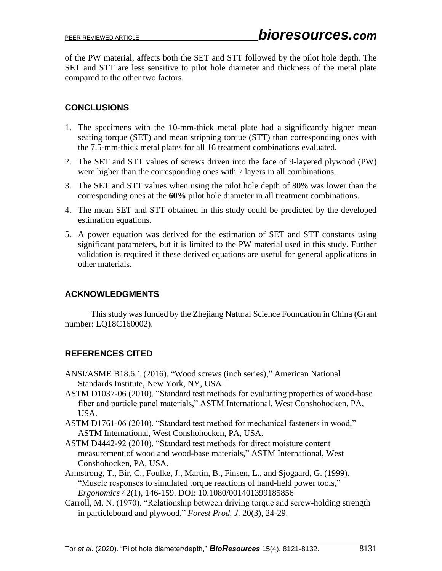of the PW material, affects both the SET and STT followed by the pilot hole depth. The SET and STT are less sensitive to pilot hole diameter and thickness of the metal plate compared to the other two factors.

# **CONCLUSIONS**

- 1. The specimens with the 10-mm-thick metal plate had a significantly higher mean seating torque (SET) and mean stripping torque (STT) than corresponding ones with the 7.5-mm-thick metal plates for all 16 treatment combinations evaluated.
- 2. The SET and STT values of screws driven into the face of 9-layered plywood (PW) were higher than the corresponding ones with 7 layers in all combinations.
- 3. The SET and STT values when using the pilot hole depth of 80% was lower than the corresponding ones at the **60%** pilot hole diameter in all treatment combinations.
- 4. The mean SET and STT obtained in this study could be predicted by the developed estimation equations.
- 5. A power equation was derived for the estimation of SET and STT constants using significant parameters, but it is limited to the PW material used in this study. Further validation is required if these derived equations are useful for general applications in other materials.

## **ACKNOWLEDGMENTS**

This study was funded by the Zhejiang Natural Science Foundation in China (Grant number: LQ18C160002).

# **REFERENCES CITED**

- ANSI/ASME B18.6.1 (2016). "Wood screws (inch series)," American National Standards Institute, New York, NY, USA.
- ASTM D1037-06 (2010). "Standard test methods for evaluating properties of wood-base fiber and particle panel materials," ASTM International, West Conshohocken, PA, USA.
- ASTM D1761-06 (2010). "Standard test method for mechanical fasteners in wood," ASTM International, West Conshohocken, PA, USA.
- ASTM D4442-92 (2010). "Standard test methods for direct moisture content measurement of wood and wood-base materials," ASTM International, West Conshohocken, PA, USA.
- Armstrong, T., Bir, C., Foulke, J., Martin, B., Finsen, L., and Sjogaard, G. (1999). "Muscle responses to simulated torque reactions of hand-held power tools," *Ergonomics* 42(1), 146-159. DOI: 10.1080/001401399185856
- Carroll, M. N. (1970). "Relationship between driving torque and screw-holding strength in particleboard and plywood," *Forest Prod. J.* 20(3), 24-29.